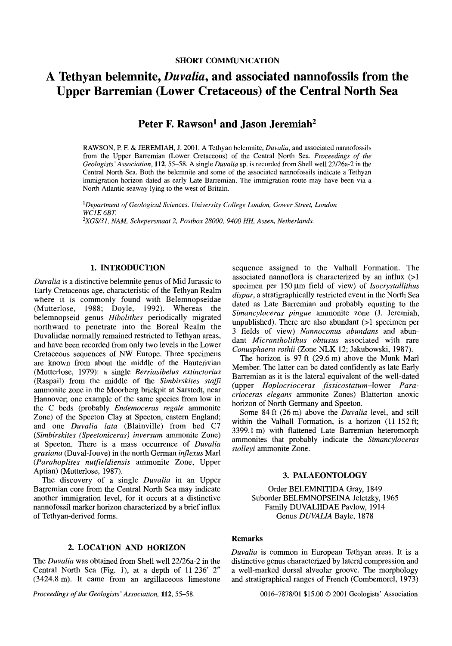# A Tethyan belemnite, *Duvalia,* and associated nannofossils from the Upper Barremian (Lower Cretaceous) of the Central North Sea

## Peter F. Rawson<sup>1</sup> and Jason Jeremiah<sup>2</sup>

RAWSON, P. F. & JEREMIAH, J. 2001. A Tethyan belemnite, *Duvalia,* and associated nannofossils from the Upper Barremian (Lower Cretaceous) of the Central North Sea. *Proceedings of the Geologists' Association,* 112,55-58. A single *Duvalia* sp. is recorded from Shell well 22/26a-2 in the Central North Sea. Both the belemnite and some of the associated nannofossils indicate a Tethyan immigration horizon dated as early Late Barremian. The immigration route may have been via a North Atlantic seaway lying to the west of Britain.

<sup>1</sup>*Department ofGeological Sciences. University College London, Gower Street, London WC1E 6BT. 2XGS131, NAM. Schepersmaat* 2, *Postbox 28000, 9400 HH, Assen, Netherlands.*

## 1. INTRODUCTION

*Duvalia* is a distinctive belemnite genus of Mid Jurassic to Early Cretaceous age, characteristic of the Tethyan Realm where it is commonly found with Belemnopseidae (Mutterlose, 1988; Doyle, 1992). Whereas the belemnopseid genus *Hibolithes* periodically migrated northward to penetrate into the Boreal Realm the Duvaliidae normally remained restricted to Tethyan areas, and have been recorded from only two levels in the Lower Cretaceous sequences of NW Europe. Three specimens are known from about the middle of the Hauterivian (Mutterlose, 1979): a single *Berriasibelus extinctorius* (Raspail) from the middle of the *Simbirskites staffi* ammonite zone in the Moorberg brickpit at Sarstedt, near Hannover; one example of the same species from low in the C beds (probably *Endemoceras regale* ammonite Zone) of the Speeton Clay at Speeton, eastern England; and one *Duvalia lata* (Blainville) from bed C7 *(Simbirskites (Speetoniceras) inversum* ammonite Zone) at Speeton. There is a mass occurrence of *Duvalia grasiana* (Duval-Jouve) in the north German *inflexus* Marl *(Parahoplites nutfieldiensis* ammonite Zone, Upper Aptian) (Mutterlose, 1987).

The discovery of a single *Duvalia* in an Upper Barremian core from the Central North Sea may indicate another immigration level, for it occurs at a distinctive nannofossil marker horizon characterized by a brief influx of Tethyan-derived forms.

## 2. LOCATION AND HORIZON

The *Duvalia* was obtained from Shell well 22/26a-2 in the Central North Sea (Fig. 1), at a depth of 11 236' 2" (3424.8 m). It came from an argillaceous limestone

*Proceedings of the Geologists' Association,* 112, 55-58.

sequence assigned to the Valhall Formation. The associated nannoflora is characterized by an influx (>I specimen per 150 µm field of view) of *Isocrystallithus dispar,* a stratigraphically restricted event in the North Sea dated as Late Barremian and probably equating to the *Simancyloceras pingue* ammonite zone (1. Jeremiah, unpublished). There are also abundant (>1 specimen per 3 fields of view) *Nannoconus abundans* and abundant *Micrantholithus obtusus* associated with rare *Conusphaera rothii* (Zone NLK 12; Jakubowski, 1987).

The horizon is 97 ft (29.6 m) above the Munk Marl Member. The latter can be dated confidently as late Early Barremian as it is the lateral equivalent of the well-dated (upper *Hoplocrioceras fissicostatum-Iower Paracrioceras elegans* ammonite Zones) Blatterton anoxic horizon of North Germany and Speeton.

Some 84 ft (26 m) above the *Duvalia* level, and still within the Valhall Formation, is a horizon (11 152 ft; 3399.1 m) with flattened Late Barremian heteromorph ammonites that probably indicate the *Simancyloceras stolleyi* ammonite Zone.

#### 3. PALAEONTOLOGY

Order BELEMNITIDA Gray, 1849 Suborder BELEMNOPSEINA Jeletzky, 1965 Family DUVALIIDAE Pavlow, 1914 Genus *DUVALIA* Bayle, 1878

## Remarks

*Duvalia* is common in European Tethyan areas. It is a distinctive genus characterized by lateral compression and a well-marked dorsal alveolar groove. The morphology and stratigraphical ranges of French (Combemorel, 1973)

0016--7878/01 \$15.00 © 2001 Geologists' Association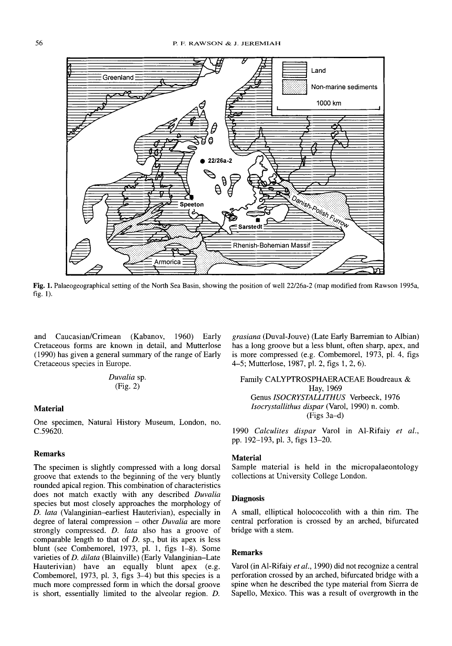

Fig. 1. Palaeogeographical setting of the North Sea Basin, showing the position of well 22/26a-2 (map modified from Rawson 1995a, fig. I).

and Caucasian/Crimean (Kabanov, 1960) Early Cretaceous forms are known in detail, and Mutterlose (1990) has given a general summary of the range of Early Cretaceous species in Europe.

*Du valia* sp. (Fig. 2)

#### Material

One specimen, Natural History Museum, London, no. C.59620.

## Remarks

The specimen is slightly compressed with a long dorsal groove that extends to the beginning of the very bluntly rounded apical region. This combination of characteristics does not match exactly with any described *Duvalia* species but most closely approaches the morphology of *D. lata* (Valanginian-earliest Hauterivian), especially in degree of lateral compression - other *Duvalia* are more strongly compressed. *D. lata* also has a groove of comparable length to that of *D*. sp., but its apex is less blunt (see Combemorel, 1973, pl. 1, figs  $1-8$ ). Some varieties of *D. dilata* (Blainville) (Early Valanginian-Late Hauterivian) have an equally blunt apex (e.g. Combemorel, 1973, pl. 3, figs 3-4) but this species is a much more compressed form in which the dorsal groove is short, essentially limited to the alveolar region. *D.* *grasiana* (Duval-Jouve) (Late Early Barremian to Albian) has a long groove but a less blunt, often sharp, apex, and is more compressed (e.g. Combemorel, 1973, pl. 4, figs 4-5; Mutterlose, 1987, pI. 2, figs 1, 2, 6).

Family CALYPTROSPHAERACEAE Boudreaux & Hay, 1969 Genus *ISOCR YSTALLlTHUS* Verbeeck, 1976 *Isocrys tallithus dispar* (Varol, 1990) n. comb. (Figs 3a-d)

*1990 Calc ulites dispar* Varol in Al-Rifaiy *et al .,* pp. 192-193, pl. 3, figs 13-20.

#### Material

Sample material is held in the micropalaeontology collections at University College London.

#### **Diagnosis**

A small, elliptical holococcolith with a thin rim. The central perforation is crossed by an arched, bifurcated bridge with a stem.

#### Remarks

Varol (in Al-Rifaiy *et al. ,* 1990) did not recognize a central perforation crossed by an arched, bifurcated bridge with a spine when he described the type material from Sierra de Sapello, Mexico. This was a result of overgrowth in the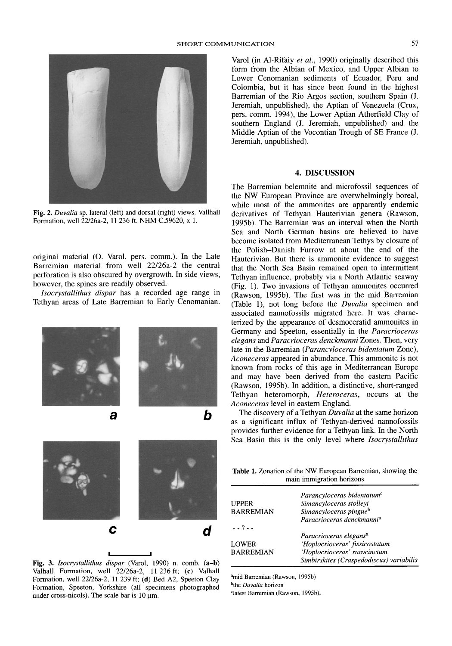

Fig. 2. *Duvalia* sp. lateral (left) and dorsal (right) views. Vallhall Formation, well 22/26a-2, 11 236 ft. NHM C.59620, x 1.

original material (0. Varol, pers. comm.). In the Late Barremian material from well 22/26a-2 the central perforation is also obscured by overgrowth . In side views, however, the spines are readily observed.

*lsocrystallithus dispar* has a recorded age range in Tethyan areas of Late Barremian to Early Cenomanian.





Fig. 3. *Isocrystallithus dispar* (Varol, 1990) n. comb. (a-b) Valhall Formation, well 22/26a-2, II 236 ft; (e) Valhall Formation, well 22/26a-2, 11 239 ft; (d) Bed A2, Speeton Clay Formation, Speeton, Yorkshire (all specimens photographed under cross-nicols). The scale bar is  $10 \mu m$ .

Varol (in Al-Rifaiy *et al.,* 1990) originally described this form from the Albian of Mexico, and Upper Albian to Lower Cenomanian sediments of Ecuador, Peru and Colombia, but it has since been found in the highest Barremian of the Rio Argos section, southern Spain (J. Jeremiah, unpublished), the Aptian of Venezuela (Crux, pers. comm, 1994), the Lower Aptian Atherfield Clay of southern England (J. Jeremiah, unpublished) and the Middle Aptian of the Vocontian Trough of SE France (J. Jeremiah, unpublished).

#### 4. DISCUSSION

The Barremian belemnite and microfossil sequences of the NW European Province are overwhelmingly boreal, while most of the ammonites are apparently endemic derivatives of Tethyan Hauterivian genera (Rawson, 1995b). The Barremian was an interval when the North Sea and North German basins are believed to have become isolated from Mediterranean Tethys by closure of the Polish-Danish Furrow at about the end of the Hauterivian. But there is ammonite evidence to suggest that the North Sea Basin remained open to intermittent Tethyan influence, probably via a North Atlantic seaway (Fig. I). Two invasions of Tethyan ammonites occurred (Rawson, 1995b). The first was in the mid Barremian (Table I), not long before the *Duvalia* specimen and associated nannofossils migrated here. It was characterized by the appearance of desmoceratid ammonites in Germany and Speeton, essentially in the *Paracrioceras elegans* and *Paracrioceras denckmanni* Zones. Then, very late in the Barremian *(Parancyloceras bidentatum* Zone), *Aconeceras* appeared in abundance. This ammonite is not known from rocks of this age in Mediterranean Europe and may have been derived from the eastern Pacific (Rawson, 1995b). In addition, a distinctive, short-ranged Tethyan heteromorph, *Heteroceras*, occurs at the *Aconeceras* level in eastern England.

The discovery of a Tethyan *Duvalia* at the same horizon as a significant influx of Tethyan-derived nannofossils provides further evidence for a Tethyan link. In the North Sea Basin this is the only level where *lsocrystallithus*

Table 1. Zonation of the NW European Barremian, showing the main immigration horizons

|                  | Parancyloceras bidentatum <sup>c</sup>   |
|------------------|------------------------------------------|
| <b>UPPER</b>     | Simancyloceras stolleyi                  |
| <b>BARREMIAN</b> | Simancyloceras pingue <sup>b</sup>       |
|                  | Paracrioceras denckmanni <sup>a</sup>    |
| $- - 7 - -$      |                                          |
|                  | Paracrioceras elegans <sup>a</sup>       |
| <b>LOWER</b>     | 'Hoplocrioceras' fissicostatum           |
| <b>BARREMIAN</b> | 'Hoplocrioceras' rarocinctum             |
|                  | Simbirskites (Craspedodiscus) variabilis |
|                  |                                          |

<sup>a</sup>mid Barremian (Rawson, 1995b) <sup>b</sup>the *Duvalia* horizon

<sup>c</sup>latest Barremian (Rawson, 1995b).